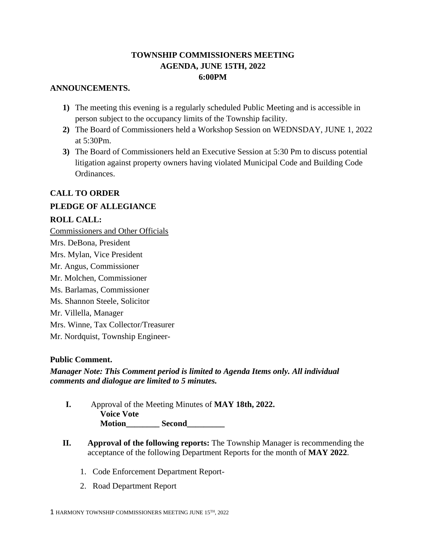## **TOWNSHIP COMMISSIONERS MEETING AGENDA, JUNE 15TH, 2022 6:00PM**

## **ANNOUNCEMENTS.**

- **1)** The meeting this evening is a regularly scheduled Public Meeting and is accessible in person subject to the occupancy limits of the Township facility.
- **2)** The Board of Commissioners held a Workshop Session on WEDNSDAY, JUNE 1, 2022 at 5:30Pm.
- **3)** The Board of Commissioners held an Executive Session at 5:30 Pm to discuss potential litigation against property owners having violated Municipal Code and Building Code Ordinances.

# **CALL TO ORDER**

## **PLEDGE OF ALLEGIANCE**

## **ROLL CALL:**

Commissioners and Other Officials Mrs. DeBona, President Mrs. Mylan, Vice President Mr. Angus, Commissioner Mr. Molchen, Commissioner Ms. Barlamas, Commissioner Ms. Shannon Steele, Solicitor Mr. Villella, Manager Mrs. Winne, Tax Collector/Treasurer Mr. Nordquist, Township Engineer-

## **Public Comment.**

*Manager Note: This Comment period is limited to Agenda Items only. All individual comments and dialogue are limited to 5 minutes.* 

- **I.** Approval of the Meeting Minutes of **MAY 18th, 2022. Voice Vote Motion\_\_\_\_\_\_\_\_ Second\_\_\_\_\_\_\_\_\_**
- **II. Approval of the following reports:** The Township Manager is recommending the acceptance of the following Department Reports for the month of **MAY 2022**.
	- 1. Code Enforcement Department Report-
	- 2. Road Department Report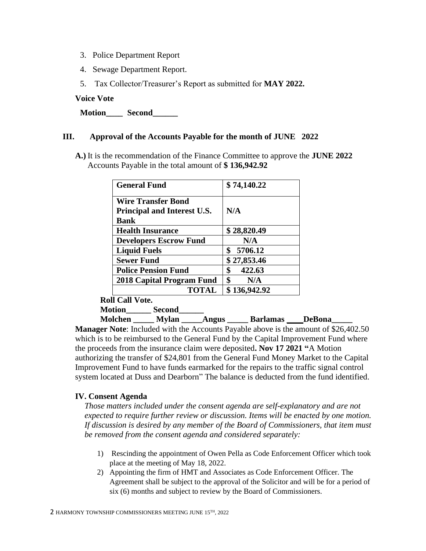- 3. Police Department Report
- 4. Sewage Department Report.
- 5. Tax Collector/Treasurer's Report as submitted for **MAY 2022.**

#### **Voice Vote**

**Motion\_\_\_\_ Second\_\_\_\_\_\_**

#### **III. Approval of the Accounts Payable for the month of JUNE 2022**

**A.)** It is the recommendation of the Finance Committee to approve the **JUNE 2022** Accounts Payable in the total amount of **\$ 136,942.92**

| <b>General Fund</b>                                                            | \$74,140.22   |
|--------------------------------------------------------------------------------|---------------|
| <b>Wire Transfer Bond</b><br><b>Principal and Interest U.S.</b><br><b>Bank</b> | N/A           |
| <b>Health Insurance</b>                                                        | \$28,820.49   |
| <b>Developers Escrow Fund</b>                                                  | N/A           |
| <b>Liquid Fuels</b>                                                            | \$<br>5706.12 |
| <b>Sewer Fund</b>                                                              | \$27,853.46   |
| <b>Police Pension Fund</b>                                                     | \$<br>422.63  |
| 2018 Capital Program Fund                                                      | \$<br>N/A     |
| <b>TOTAL</b>                                                                   | \$136,942.92  |

**Roll Call Vote.**

**Motion\_\_\_\_\_\_ Second\_\_\_\_\_\_**

 **Molchen \_\_\_\_\_ Mylan \_\_\_\_\_Angus \_\_\_\_\_ Barlamas** \_\_\_\_**DeBona\_\_\_\_\_** 

**Manager Note**: Included with the Accounts Payable above is the amount of \$26,402.50 which is to be reimbursed to the General Fund by the Capital Improvement Fund where the proceeds from the insurance claim were deposited**. Nov 17 2021 "**A Motion authorizing the transfer of \$24,801 from the General Fund Money Market to the Capital Improvement Fund to have funds earmarked for the repairs to the traffic signal control system located at Duss and Dearborn" The balance is deducted from the fund identified.

#### **IV. Consent Agenda**

*Those matters included under the consent agenda are self-explanatory and are not expected to require further review or discussion. Items will be enacted by one motion. If discussion is desired by any member of the Board of Commissioners, that item must be removed from the consent agenda and considered separately:*

- 1) Rescinding the appointment of Owen Pella as Code Enforcement Officer which took place at the meeting of May 18, 2022.
- 2) Appointing the firm of HMT and Associates as Code Enforcement Officer. The Agreement shall be subject to the approval of the Solicitor and will be for a period of six (6) months and subject to review by the Board of Commissioners.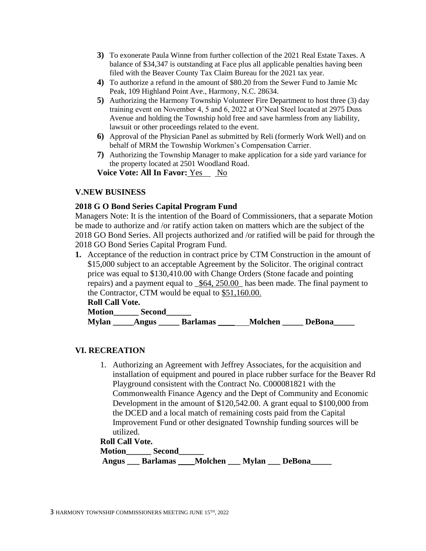- **3)** To exonerate Paula Winne from further collection of the 2021 Real Estate Taxes. A balance of \$34,347 is outstanding at Face plus all applicable penalties having been filed with the Beaver County Tax Claim Bureau for the 2021 tax year.
- **4)** To authorize a refund in the amount of \$80.20 from the Sewer Fund to Jamie Mc Peak, 109 Highland Point Ave., Harmony, N.C. 28634.
- **5)** Authorizing the Harmony Township Volunteer Fire Department to host three (3) day training event on November 4, 5 and 6, 2022 at O'Neal Steel located at 2975 Duss Avenue and holding the Township hold free and save harmless from any liability, lawsuit or other proceedings related to the event.
- **6)** Approval of the Physician Panel as submitted by Reli (formerly Work Well) and on behalf of MRM the Township Workmen's Compensation Carrier.
- **7)** Authorizing the Township Manager to make application for a side yard variance for the property located at 2501 Woodland Road.

**Voice Vote: All In Favor:** Yes No

### **V.NEW BUSINESS**

#### **2018 G O Bond Series Capital Program Fund**

Managers Note: It is the intention of the Board of Commissioners, that a separate Motion be made to authorize and /or ratify action taken on matters which are the subject of the 2018 GO Bond Series. All projects authorized and /or ratified will be paid for through the 2018 GO Bond Series Capital Program Fund.

**1.** Acceptance of the reduction in contract price by CTM Construction in the amount of \$15,000 subject to an acceptable Agreement by the Solicitor. The original contract price was equal to \$130,410.00 with Change Orders (Stone facade and pointing repairs) and a payment equal to  $\text{\textdegree}564, 250.00$  has been made. The final payment to the Contractor, CTM would be equal to \$51,160.00.

**Roll Call Vote.**

| <b>Motion</b> | <b>Second</b> |                 |                |               |
|---------------|---------------|-----------------|----------------|---------------|
| <b>Mylan</b>  | Angus         | <b>Barlamas</b> | <b>Molchen</b> | <b>DeBona</b> |

### **VI. RECREATION**

1. Authorizing an Agreement with Jeffrey Associates, for the acquisition and installation of equipment and poured in place rubber surface for the Beaver Rd Playground consistent with the Contract No. C000081821 with the Commonwealth Finance Agency and the Dept of Community and Economic Development in the amount of \$120,542.00. A grant equal to \$100,000 from the DCED and a local match of remaining costs paid from the Capital Improvement Fund or other designated Township funding sources will be utilized.

#### **Roll Call Vote.**

| Motion | <b>Second</b>   |                |              |               |  |
|--------|-----------------|----------------|--------------|---------------|--|
| Angus  | <b>Barlamas</b> | <b>Molchen</b> | <b>Mylan</b> | <b>DeBona</b> |  |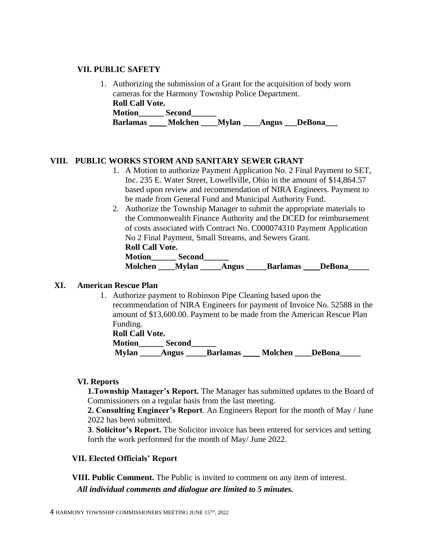#### **VII. PUBLIC SAFETY**

1. Authorizing the submission of a Grant for the acquisition of body worn cameras for the Harmony Township Police Department. **Roll Call Vote. Motion\_\_\_\_\_\_ Second\_\_\_\_\_\_ Barlamas** \_\_\_\_ **Molchen \_\_\_\_Mylan \_\_\_\_Angus \_\_\_DeBona\_\_\_**

## **VIII. PUBLIC WORKS STORM AND SANITARY SEWER GRANT**

- 1. A Motion to authorize Payment Application No. 2 Final Payment to SET, Inc. 235 E. Water Street, Lowellville, Ohio in the amount of \$14,864.57 based upon review and recommendation of NIRA Engineers. Payment to be made from General Fund and Municipal Authority Fund.
- 2. Authorize the Township Manager to submit the appropriate materials to the Commonwealth Finance Authority and the DCED for reimbursement of costs associated with Contract No. C000074310 Payment Application No 2 Final Payment, Small Streams, and Sewers Grant. **R R R C R R R R R R R**

| KOII CAII VOTE. |              |       |                 |               |  |
|-----------------|--------------|-------|-----------------|---------------|--|
| Motion          | Second       |       |                 |               |  |
| Molchen         | <b>Mylan</b> | Angus | <b>Barlamas</b> | <b>DeBona</b> |  |

### **XI. American Rescue Plan**

1. Authorize payment to Robinson Pipe Cleaning based upon the recommendation of NIRA Engineers for payment of Invoice No. 52588 in the amount of \$13,600.00. Payment to be made from the American Rescue Plan Funding.

**Roll Call Vote. Motion\_\_\_\_\_\_ Second\_\_\_\_\_\_ Mylan Angus Barlamas Molchen DeBona** 

#### **VI. Reports**

**1.Township Manager's Report.** The Manager has submitted updates to the Board of Commissioners on a regular basis from the last meeting.

**2. Consulting Engineer's Report**. An Engineers Report for the month of May / June 2022 has been submitted.

**3**. **Solicitor's Report.** The Solicitor invoice has been entered for services and setting forth the work performed for the month of May/ June 2022.

### **VII. Elected Officials' Report**

**VIII. Public Comment.** The Public is invited to comment on any item of interest. *All individual comments and dialogue are limited to 5 minutes.*